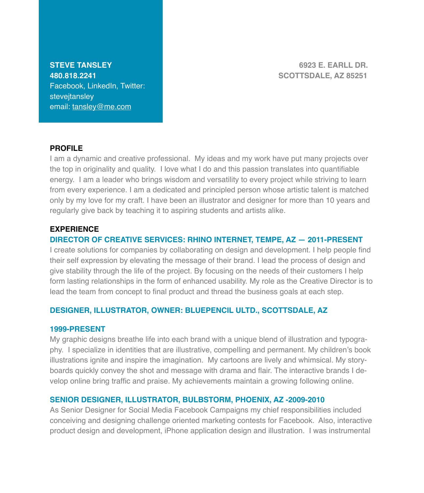Facebook, LinkedIn, Twitter: stevejtansley email: [tansley@me.com](mailto:tansley@me.com)

**STEVE TANSLEY! ! ! ! ! ! ! ! 6923 E. EARLL DR. 480.818.2241! ! ! ! ! ! ! SCOTTSDALE, AZ 85251**

## **PROFILE**

I am a dynamic and creative professional. My ideas and my work have put many projects over the top in originality and quality. I love what I do and this passion translates into quantifiable energy. I am a leader who brings wisdom and versatility to every project while striving to learn from every experience. I am a dedicated and principled person whose artistic talent is matched only by my love for my craft. I have been an illustrator and designer for more than 10 years and regularly give back by teaching it to aspiring students and artists alike.

## **EXPERIENCE**

## **DIRECTOR OF CREATIVE SERVICES: RHINO INTERNET, TEMPE, AZ — 2011-PRESENT**

I create solutions for companies by collaborating on design and development. I help people find their self expression by elevating the message of their brand. I lead the process of design and give stability through the life of the project. By focusing on the needs of their customers I help form lasting relationships in the form of enhanced usability. My role as the Creative Director is to lead the team from concept to final product and thread the business goals at each step.

## **DESIGNER, ILLUSTRATOR, OWNER: BLUEPENCIL ULTD., SCOTTSDALE, AZ**

### **1999-PRESENT**

My graphic designs breathe life into each brand with a unique blend of illustration and typography. I specialize in identities that are illustrative, compelling and permanent. My children's book illustrations ignite and inspire the imagination. My cartoons are lively and whimsical. My storyboards quickly convey the shot and message with drama and flair. The interactive brands I develop online bring traffic and praise. My achievements maintain a growing following online.

## **SENIOR DESIGNER, ILLUSTRATOR, BULBSTORM, PHOENIX, AZ -2009-2010**

As Senior Designer for Social Media Facebook Campaigns my chief responsibilities included conceiving and designing challenge oriented marketing contests for Facebook. Also, interactive product design and development, iPhone application design and illustration. I was instrumental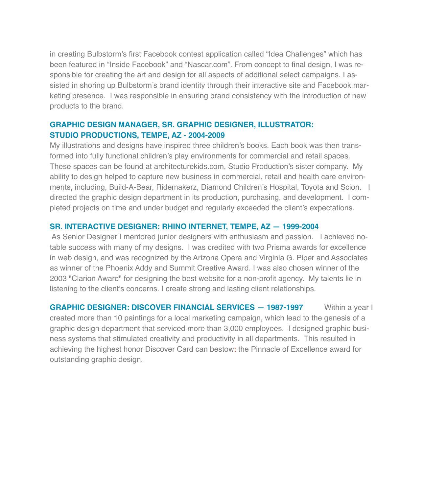in creating Bulbstorm's first Facebook contest application called "Idea Challenges" which has been featured in "Inside Facebook" and "Nascar.com". From concept to final design, I was responsible for creating the art and design for all aspects of additional select campaigns. I assisted in shoring up Bulbstorm's brand identity through their interactive site and Facebook marketing presence. I was responsible in ensuring brand consistency with the introduction of new products to the brand.

# **GRAPHIC DESIGN MANAGER, SR. GRAPHIC DESIGNER, ILLUSTRATOR: STUDIO PRODUCTIONS, TEMPE, AZ - 2004-2009**

My illustrations and designs have inspired three children's books. Each book was then transformed into fully functional children's play environments for commercial and retail spaces. These spaces can be found at architecturekids.com, Studio Production's sister company. My ability to design helped to capture new business in commercial, retail and health care environments, including, Build-A-Bear, Ridemakerz, Diamond Children's Hospital, Toyota and Scion. I directed the graphic design department in its production, purchasing, and development. I completed projects on time and under budget and regularly exceeded the client's expectations.

# **SR. INTERACTIVE DESIGNER: RHINO INTERNET, TEMPE, AZ — 1999-2004**

 As Senior Designer I mentored junior designers with enthusiasm and passion. I achieved notable success with many of my designs. I was credited with two Prisma awards for excellence in web design, and was recognized by the Arizona Opera and Virginia G. Piper and Associates as winner of the Phoenix Addy and Summit Creative Award. I was also chosen winner of the 2003 "Clarion Award" for designing the best website for a non-profit agency. My talents lie in listening to the client's concerns. I create strong and lasting client relationships.

**GRAPHIC DESIGNER: DISCOVER FINANCIAL SERVICES - 1987-1997** Within a year I created more than 10 paintings for a local marketing campaign, which lead to the genesis of a graphic design department that serviced more than 3,000 employees. I designed graphic business systems that stimulated creativity and productivity in all departments. This resulted in achieving the highest honor Discover Card can bestow: the Pinnacle of Excellence award for outstanding graphic design.